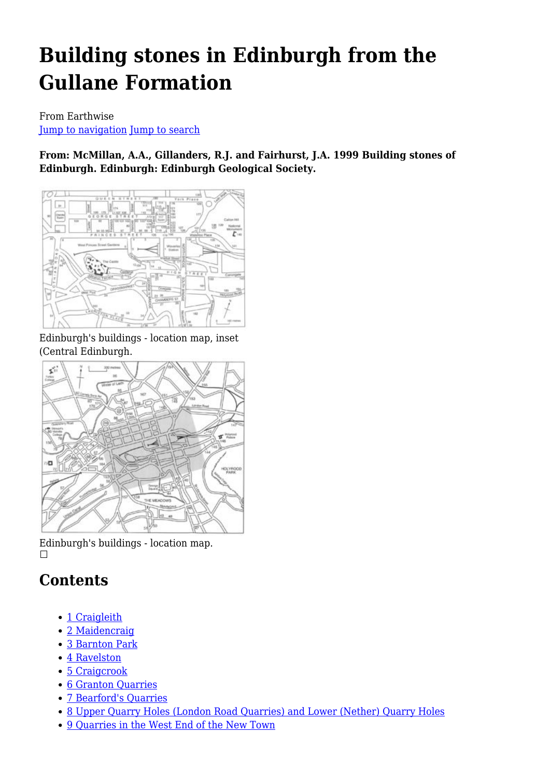# **Building stones in Edinburgh from the Gullane Formation**

From Earthwise [Jump to navigation](#page--1-0) [Jump to search](#page--1-0)

**From: McMillan, A.A., Gillanders, R.J. and Fairhurst, J.A. 1999 Building stones of Edinburgh. Edinburgh: Edinburgh Geological Society.**



Edinburgh's buildings - location map, inset (Central Edinburgh.



Edinburgh's buildings - location map.  $\Box$ 

# **Contents**

- [1](#page--1-0) [Craigleith](#page--1-0)
- [2](#page--1-0) [Maidencraig](#page--1-0)
- [3](#page--1-0) [Barnton Park](#page--1-0)
- [4](#page--1-0) [Ravelston](#page--1-0)
- [5](#page--1-0) [Craigcrook](#page--1-0)
- [6](#page--1-0) [Granton Quarries](#page--1-0)
- [7](#Bearford.27s_Quarries) [Bearford's Quarries](#Bearford.27s_Quarries)
- [8](#Upper_Quarry_Holes_.28London_Road_Quarries.29_and_Lower_.28Nether.29_Quarry_Holes) [Upper Quarry Holes \(London Road Quarries\) and Lower \(Nether\) Quarry Holes](#Upper_Quarry_Holes_.28London_Road_Quarries.29_and_Lower_.28Nether.29_Quarry_Holes)
- [9](#page--1-0) [Quarries in the West End of the New Town](#page--1-0)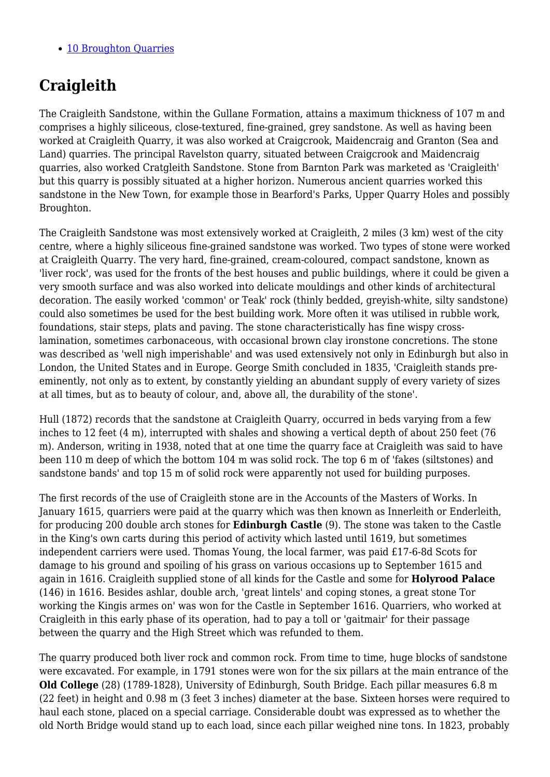#### • [10](#page--1-0) [Broughton Quarries](#page--1-0)

## **Craigleith**

The Craigleith Sandstone, within the Gullane Formation, attains a maximum thickness of 107 m and comprises a highly siliceous, close-textured, fine-grained, grey sandstone. As well as having been worked at Craigleith Quarry, it was also worked at Craigcrook, Maidencraig and Granton (Sea and Land) quarries. The principal Ravelston quarry, situated between Craigcrook and Maidencraig quarries, also worked Cratgleith Sandstone. Stone from Barnton Park was marketed as 'Craigleith' but this quarry is possibly situated at a higher horizon. Numerous ancient quarries worked this sandstone in the New Town, for example those in Bearford's Parks, Upper Quarry Holes and possibly Broughton.

The Craigleith Sandstone was most extensively worked at Craigleith, 2 miles (3 km) west of the city centre, where a highly siliceous fine-grained sandstone was worked. Two types of stone were worked at Craigleith Quarry. The very hard, fine-grained, cream-coloured, compact sandstone, known as 'liver rock', was used for the fronts of the best houses and public buildings, where it could be given a very smooth surface and was also worked into delicate mouldings and other kinds of architectural decoration. The easily worked 'common' or Teak' rock (thinly bedded, greyish-white, silty sandstone) could also sometimes be used for the best building work. More often it was utilised in rubble work, foundations, stair steps, plats and paving. The stone characteristically has fine wispy crosslamination, sometimes carbonaceous, with occasional brown clay ironstone concretions. The stone was described as 'well nigh imperishable' and was used extensively not only in Edinburgh but also in London, the United States and in Europe. George Smith concluded in 1835, 'Craigleith stands preeminently, not only as to extent, by constantly yielding an abundant supply of every variety of sizes at all times, but as to beauty of colour, and, above all, the durability of the stone'.

Hull (1872) records that the sandstone at Craigleith Quarry, occurred in beds varying from a few inches to 12 feet (4 m), interrupted with shales and showing a vertical depth of about 250 feet (76 m). Anderson, writing in 1938, noted that at one time the quarry face at Craigleith was said to have been 110 m deep of which the bottom 104 m was solid rock. The top 6 m of 'fakes (siltstones) and sandstone bands' and top 15 m of solid rock were apparently not used for building purposes.

The first records of the use of Craigleith stone are in the Accounts of the Masters of Works. In January 1615, quarriers were paid at the quarry which was then known as Innerleith or Enderleith, for producing 200 double arch stones for **Edinburgh Castle** (9). The stone was taken to the Castle in the King's own carts during this period of activity which lasted until 1619, but sometimes independent carriers were used. Thomas Young, the local farmer, was paid £17-6-8d Scots for damage to his ground and spoiling of his grass on various occasions up to September 1615 and again in 1616. Craigleith supplied stone of all kinds for the Castle and some for **Holyrood Palace** (146) in 1616. Besides ashlar, double arch, 'great lintels' and coping stones, a great stone Tor working the Kingis armes on' was won for the Castle in September 1616. Quarriers, who worked at Craigleith in this early phase of its operation, had to pay a toll or 'gaitmair' for their passage between the quarry and the High Street which was refunded to them.

The quarry produced both liver rock and common rock. From time to time, huge blocks of sandstone were excavated. For example, in 1791 stones were won for the six pillars at the main entrance of the **Old College** (28) (1789-1828), University of Edinburgh, South Bridge. Each pillar measures 6.8 m (22 feet) in height and 0.98 m (3 feet 3 inches) diameter at the base. Sixteen horses were required to haul each stone, placed on a special carriage. Considerable doubt was expressed as to whether the old North Bridge would stand up to each load, since each pillar weighed nine tons. In 1823, probably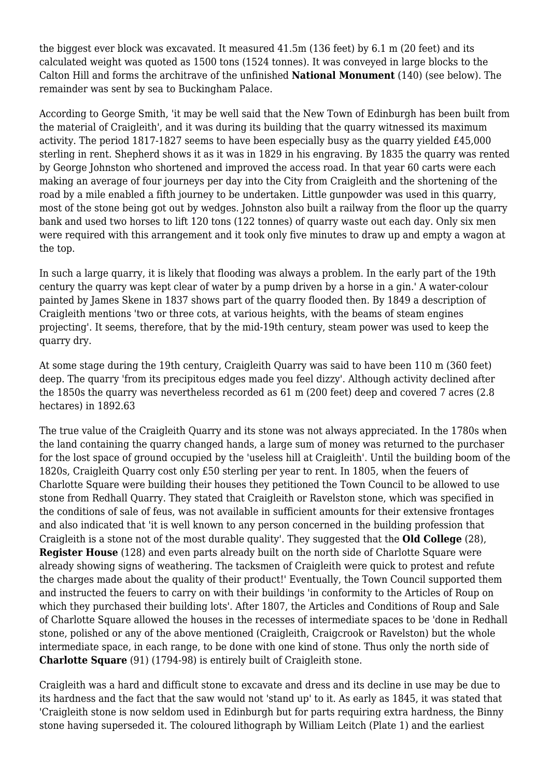the biggest ever block was excavated. It measured 41.5m (136 feet) by 6.1 m (20 feet) and its calculated weight was quoted as 1500 tons (1524 tonnes). It was conveyed in large blocks to the Calton Hill and forms the architrave of the unfinished **National Monument** (140) (see below). The remainder was sent by sea to Buckingham Palace.

According to George Smith, 'it may be well said that the New Town of Edinburgh has been built from the material of Craigleith', and it was during its building that the quarry witnessed its maximum activity. The period 1817-1827 seems to have been especially busy as the quarry yielded £45,000 sterling in rent. Shepherd shows it as it was in 1829 in his engraving. By 1835 the quarry was rented by George Johnston who shortened and improved the access road. In that year 60 carts were each making an average of four journeys per day into the City from Craigleith and the shortening of the road by a mile enabled a fifth journey to be undertaken. Little gunpowder was used in this quarry, most of the stone being got out by wedges. Johnston also built a railway from the floor up the quarry bank and used two horses to lift 120 tons (122 tonnes) of quarry waste out each day. Only six men were required with this arrangement and it took only five minutes to draw up and empty a wagon at the top.

In such a large quarry, it is likely that flooding was always a problem. In the early part of the 19th century the quarry was kept clear of water by a pump driven by a horse in a gin.' A water-colour painted by James Skene in 1837 shows part of the quarry flooded then. By 1849 a description of Craigleith mentions 'two or three cots, at various heights, with the beams of steam engines projecting'. It seems, therefore, that by the mid-19th century, steam power was used to keep the quarry dry.

At some stage during the 19th century, Craigleith Quarry was said to have been 110 m (360 feet) deep. The quarry 'from its precipitous edges made you feel dizzy'. Although activity declined after the 1850s the quarry was nevertheless recorded as 61 m (200 feet) deep and covered 7 acres (2.8 hectares) in 1892.63

The true value of the Craigleith Quarry and its stone was not always appreciated. In the 1780s when the land containing the quarry changed hands, a large sum of money was returned to the purchaser for the lost space of ground occupied by the 'useless hill at Craigleith'. Until the building boom of the 1820s, Craigleith Quarry cost only £50 sterling per year to rent. In 1805, when the feuers of Charlotte Square were building their houses they petitioned the Town Council to be allowed to use stone from Redhall Quarry. They stated that Craigleith or Ravelston stone, which was specified in the conditions of sale of feus, was not available in sufficient amounts for their extensive frontages and also indicated that 'it is well known to any person concerned in the building profession that Craigleith is a stone not of the most durable quality'. They suggested that the **Old College** (28), **Register House** (128) and even parts already built on the north side of Charlotte Square were already showing signs of weathering. The tacksmen of Craigleith were quick to protest and refute the charges made about the quality of their product!' Eventually, the Town Council supported them and instructed the feuers to carry on with their buildings 'in conformity to the Articles of Roup on which they purchased their building lots'. After 1807, the Articles and Conditions of Roup and Sale of Charlotte Square allowed the houses in the recesses of intermediate spaces to be 'done in Redhall stone, polished or any of the above mentioned (Craigleith, Craigcrook or Ravelston) but the whole intermediate space, in each range, to be done with one kind of stone. Thus only the north side of **Charlotte Square** (91) (1794-98) is entirely built of Craigleith stone.

Craigleith was a hard and difficult stone to excavate and dress and its decline in use may be due to its hardness and the fact that the saw would not 'stand up' to it. As early as 1845, it was stated that 'Craigleith stone is now seldom used in Edinburgh but for parts requiring extra hardness, the Binny stone having superseded it. The coloured lithograph by William Leitch (Plate 1) and the earliest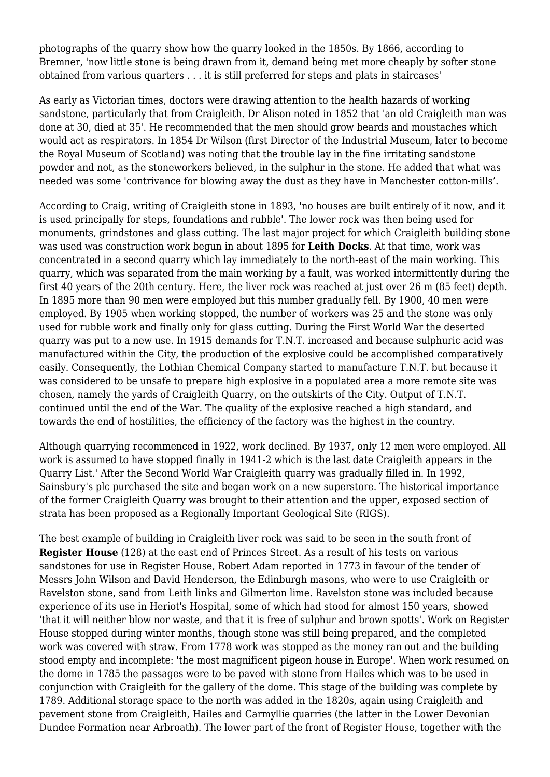photographs of the quarry show how the quarry looked in the 1850s. By 1866, according to Bremner, 'now little stone is being drawn from it, demand being met more cheaply by softer stone obtained from various quarters . . . it is still preferred for steps and plats in staircases'

As early as Victorian times, doctors were drawing attention to the health hazards of working sandstone, particularly that from Craigleith. Dr Alison noted in 1852 that 'an old Craigleith man was done at 30, died at 35'. He recommended that the men should grow beards and moustaches which would act as respirators. In 1854 Dr Wilson (first Director of the Industrial Museum, later to become the Royal Museum of Scotland) was noting that the trouble lay in the fine irritating sandstone powder and not, as the stoneworkers believed, in the sulphur in the stone. He added that what was needed was some 'contrivance for blowing away the dust as they have in Manchester cotton-mills'.

According to Craig, writing of Craigleith stone in 1893, 'no houses are built entirely of it now, and it is used principally for steps, foundations and rubble'. The lower rock was then being used for monuments, grindstones and glass cutting. The last major project for which Craigleith building stone was used was construction work begun in about 1895 for **Leith Docks**. At that time, work was concentrated in a second quarry which lay immediately to the north-east of the main working. This quarry, which was separated from the main working by a fault, was worked intermittently during the first 40 years of the 20th century. Here, the liver rock was reached at just over 26 m (85 feet) depth. In 1895 more than 90 men were employed but this number gradually fell. By 1900, 40 men were employed. By 1905 when working stopped, the number of workers was 25 and the stone was only used for rubble work and finally only for glass cutting. During the First World War the deserted quarry was put to a new use. In 1915 demands for T.N.T. increased and because sulphuric acid was manufactured within the City, the production of the explosive could be accomplished comparatively easily. Consequently, the Lothian Chemical Company started to manufacture T.N.T. but because it was considered to be unsafe to prepare high explosive in a populated area a more remote site was chosen, namely the yards of Craigleith Quarry, on the outskirts of the City. Output of T.N.T. continued until the end of the War. The quality of the explosive reached a high standard, and towards the end of hostilities, the efficiency of the factory was the highest in the country.

Although quarrying recommenced in 1922, work declined. By 1937, only 12 men were employed. All work is assumed to have stopped finally in 1941-2 which is the last date Craigleith appears in the Quarry List.' After the Second World War Craigleith quarry was gradually filled in. In 1992, Sainsbury's plc purchased the site and began work on a new superstore. The historical importance of the former Craigleith Quarry was brought to their attention and the upper, exposed section of strata has been proposed as a Regionally Important Geological Site (RIGS).

The best example of building in Craigleith liver rock was said to be seen in the south front of **Register House** (128) at the east end of Princes Street. As a result of his tests on various sandstones for use in Register House, Robert Adam reported in 1773 in favour of the tender of Messrs John Wilson and David Henderson, the Edinburgh masons, who were to use Craigleith or Ravelston stone, sand from Leith links and Gilmerton lime. Ravelston stone was included because experience of its use in Heriot's Hospital, some of which had stood for almost 150 years, showed 'that it will neither blow nor waste, and that it is free of sulphur and brown spotts'. Work on Register House stopped during winter months, though stone was still being prepared, and the completed work was covered with straw. From 1778 work was stopped as the money ran out and the building stood empty and incomplete: 'the most magnificent pigeon house in Europe'. When work resumed on the dome in 1785 the passages were to be paved with stone from Hailes which was to be used in conjunction with Craigleith for the gallery of the dome. This stage of the building was complete by 1789. Additional storage space to the north was added in the 1820s, again using Craigleith and pavement stone from Craigleith, Hailes and Carmyllie quarries (the latter in the Lower Devonian Dundee Formation near Arbroath). The lower part of the front of Register House, together with the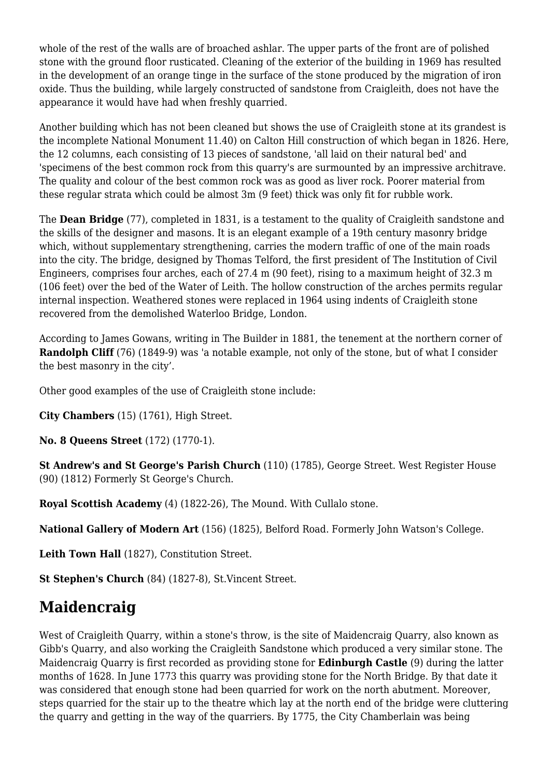whole of the rest of the walls are of broached ashlar. The upper parts of the front are of polished stone with the ground floor rusticated. Cleaning of the exterior of the building in 1969 has resulted in the development of an orange tinge in the surface of the stone produced by the migration of iron oxide. Thus the building, while largely constructed of sandstone from Craigleith, does not have the appearance it would have had when freshly quarried.

Another building which has not been cleaned but shows the use of Craigleith stone at its grandest is the incomplete National Monument 11.40) on Calton Hill construction of which began in 1826. Here, the 12 columns, each consisting of 13 pieces of sandstone, 'all laid on their natural bed' and 'specimens of the best common rock from this quarry's are surmounted by an impressive architrave. The quality and colour of the best common rock was as good as liver rock. Poorer material from these regular strata which could be almost 3m (9 feet) thick was only fit for rubble work.

The **Dean Bridge** (77), completed in 1831, is a testament to the quality of Craigleith sandstone and the skills of the designer and masons. It is an elegant example of a 19th century masonry bridge which, without supplementary strengthening, carries the modern traffic of one of the main roads into the city. The bridge, designed by Thomas Telford, the first president of The Institution of Civil Engineers, comprises four arches, each of 27.4 m (90 feet), rising to a maximum height of 32.3 m (106 feet) over the bed of the Water of Leith. The hollow construction of the arches permits regular internal inspection. Weathered stones were replaced in 1964 using indents of Craigleith stone recovered from the demolished Waterloo Bridge, London.

According to James Gowans, writing in The Builder in 1881, the tenement at the northern corner of **Randolph Cliff** (76) (1849-9) was 'a notable example, not only of the stone, but of what I consider the best masonry in the city'.

Other good examples of the use of Craigleith stone include:

**City Chambers** (15) (1761), High Street.

**No. 8 Queens Street** (172) (1770-1).

**St Andrew's and St George's Parish Church** (110) (1785), George Street. West Register House (90) (1812) Formerly St George's Church.

**Royal Scottish Academy** (4) (1822-26), The Mound. With Cullalo stone.

**National Gallery of Modern Art** (156) (1825), Belford Road. Formerly John Watson's College.

**Leith Town Hall** (1827), Constitution Street.

**St Stephen's Church** (84) (1827-8), St.Vincent Street.

### **Maidencraig**

West of Craigleith Quarry, within a stone's throw, is the site of Maidencraig Quarry, also known as Gibb's Quarry, and also working the Craigleith Sandstone which produced a very similar stone. The Maidencraig Quarry is first recorded as providing stone for **Edinburgh Castle** (9) during the latter months of 1628. In June 1773 this quarry was providing stone for the North Bridge. By that date it was considered that enough stone had been quarried for work on the north abutment. Moreover, steps quarried for the stair up to the theatre which lay at the north end of the bridge were cluttering the quarry and getting in the way of the quarriers. By 1775, the City Chamberlain was being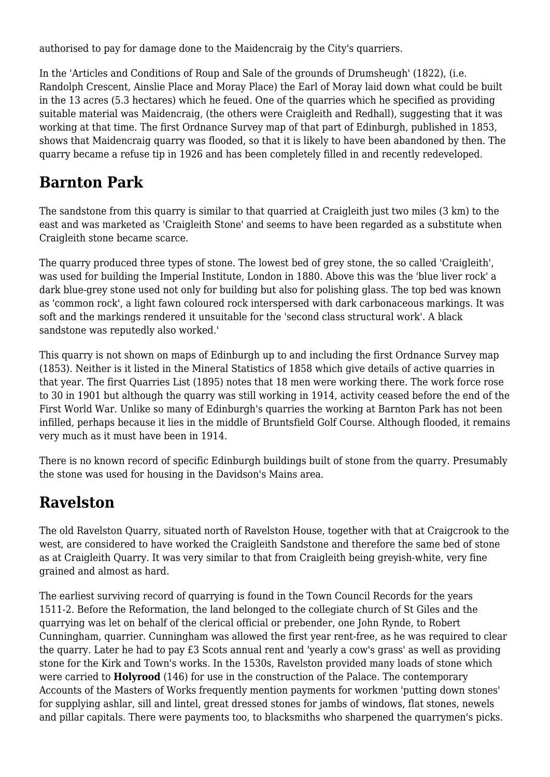authorised to pay for damage done to the Maidencraig by the City's quarriers.

In the 'Articles and Conditions of Roup and Sale of the grounds of Drumsheugh' (1822), (i.e. Randolph Crescent, Ainslie Place and Moray Place) the Earl of Moray laid down what could be built in the 13 acres (5.3 hectares) which he feued. One of the quarries which he specified as providing suitable material was Maidencraig, (the others were Craigleith and Redhall), suggesting that it was working at that time. The first Ordnance Survey map of that part of Edinburgh, published in 1853, shows that Maidencraig quarry was flooded, so that it is likely to have been abandoned by then. The quarry became a refuse tip in 1926 and has been completely filled in and recently redeveloped.

### **Barnton Park**

The sandstone from this quarry is similar to that quarried at Craigleith just two miles (3 km) to the east and was marketed as 'Craigleith Stone' and seems to have been regarded as a substitute when Craigleith stone became scarce.

The quarry produced three types of stone. The lowest bed of grey stone, the so called 'Craigleith', was used for building the Imperial Institute, London in 1880. Above this was the 'blue liver rock' a dark blue-grey stone used not only for building but also for polishing glass. The top bed was known as 'common rock', a light fawn coloured rock interspersed with dark carbonaceous markings. It was soft and the markings rendered it unsuitable for the 'second class structural work'. A black sandstone was reputedly also worked.'

This quarry is not shown on maps of Edinburgh up to and including the first Ordnance Survey map (1853). Neither is it listed in the Mineral Statistics of 1858 which give details of active quarries in that year. The first Quarries List (1895) notes that 18 men were working there. The work force rose to 30 in 1901 but although the quarry was still working in 1914, activity ceased before the end of the First World War. Unlike so many of Edinburgh's quarries the working at Barnton Park has not been infilled, perhaps because it lies in the middle of Bruntsfield Golf Course. Although flooded, it remains very much as it must have been in 1914.

There is no known record of specific Edinburgh buildings built of stone from the quarry. Presumably the stone was used for housing in the Davidson's Mains area.

### **Ravelston**

The old Ravelston Quarry, situated north of Ravelston House, together with that at Craigcrook to the west, are considered to have worked the Craigleith Sandstone and therefore the same bed of stone as at Craigleith Quarry. It was very similar to that from Craigleith being greyish-white, very fine grained and almost as hard.

The earliest surviving record of quarrying is found in the Town Council Records for the years 1511-2. Before the Reformation, the land belonged to the collegiate church of St Giles and the quarrying was let on behalf of the clerical official or prebender, one John Rynde, to Robert Cunningham, quarrier. Cunningham was allowed the first year rent-free, as he was required to clear the quarry. Later he had to pay £3 Scots annual rent and 'yearly a cow's grass' as well as providing stone for the Kirk and Town's works. In the 1530s, Ravelston provided many loads of stone which were carried to **Holyrood** (146) for use in the construction of the Palace. The contemporary Accounts of the Masters of Works frequently mention payments for workmen 'putting down stones' for supplying ashlar, sill and lintel, great dressed stones for jambs of windows, flat stones, newels and pillar capitals. There were payments too, to blacksmiths who sharpened the quarrymen's picks.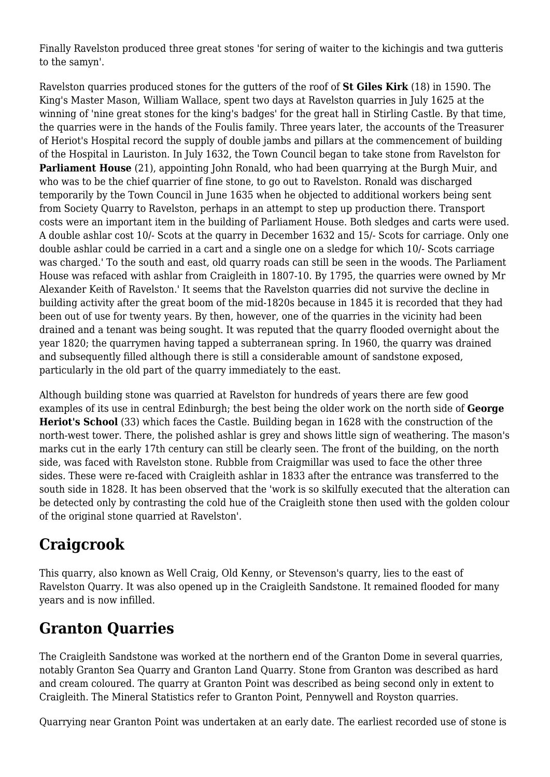Finally Ravelston produced three great stones 'for sering of waiter to the kichingis and twa gutteris to the samyn'.

Ravelston quarries produced stones for the gutters of the roof of **St Giles Kirk** (18) in 1590. The King's Master Mason, William Wallace, spent two days at Ravelston quarries in July 1625 at the winning of 'nine great stones for the king's badges' for the great hall in Stirling Castle. By that time, the quarries were in the hands of the Foulis family. Three years later, the accounts of the Treasurer of Heriot's Hospital record the supply of double jambs and pillars at the commencement of building of the Hospital in Lauriston. In July 1632, the Town Council began to take stone from Ravelston for **Parliament House** (21), appointing John Ronald, who had been quarrying at the Burgh Muir, and who was to be the chief quarrier of fine stone, to go out to Ravelston. Ronald was discharged temporarily by the Town Council in June 1635 when he objected to additional workers being sent from Society Quarry to Ravelston, perhaps in an attempt to step up production there. Transport costs were an important item in the building of Parliament House. Both sledges and carts were used. A double ashlar cost 10/- Scots at the quarry in December 1632 and 15/- Scots for carriage. Only one double ashlar could be carried in a cart and a single one on a sledge for which 10/- Scots carriage was charged.' To the south and east, old quarry roads can still be seen in the woods. The Parliament House was refaced with ashlar from Craigleith in 1807-10. By 1795, the quarries were owned by Mr Alexander Keith of Ravelston.' It seems that the Ravelston quarries did not survive the decline in building activity after the great boom of the mid-1820s because in 1845 it is recorded that they had been out of use for twenty years. By then, however, one of the quarries in the vicinity had been drained and a tenant was being sought. It was reputed that the quarry flooded overnight about the year 1820; the quarrymen having tapped a subterranean spring. In 1960, the quarry was drained and subsequently filled although there is still a considerable amount of sandstone exposed, particularly in the old part of the quarry immediately to the east.

Although building stone was quarried at Ravelston for hundreds of years there are few good examples of its use in central Edinburgh; the best being the older work on the north side of **George Heriot's School** (33) which faces the Castle. Building began in 1628 with the construction of the north-west tower. There, the polished ashlar is grey and shows little sign of weathering. The mason's marks cut in the early 17th century can still be clearly seen. The front of the building, on the north side, was faced with Ravelston stone. Rubble from Craigmillar was used to face the other three sides. These were re-faced with Craigleith ashlar in 1833 after the entrance was transferred to the south side in 1828. It has been observed that the 'work is so skilfully executed that the alteration can be detected only by contrasting the cold hue of the Craigleith stone then used with the golden colour of the original stone quarried at Ravelston'.

### **Craigcrook**

This quarry, also known as Well Craig, Old Kenny, or Stevenson's quarry, lies to the east of Ravelston Quarry. It was also opened up in the Craigleith Sandstone. It remained flooded for many years and is now infilled.

# **Granton Quarries**

The Craigleith Sandstone was worked at the northern end of the Granton Dome in several quarries, notably Granton Sea Quarry and Granton Land Quarry. Stone from Granton was described as hard and cream coloured. The quarry at Granton Point was described as being second only in extent to Craigleith. The Mineral Statistics refer to Granton Point, Pennywell and Royston quarries.

Quarrying near Granton Point was undertaken at an early date. The earliest recorded use of stone is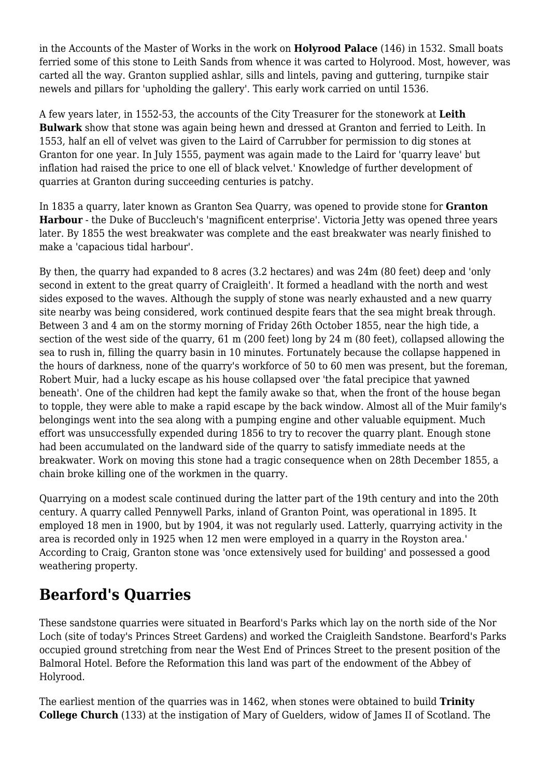in the Accounts of the Master of Works in the work on **Holyrood Palace** (146) in 1532. Small boats ferried some of this stone to Leith Sands from whence it was carted to Holyrood. Most, however, was carted all the way. Granton supplied ashlar, sills and lintels, paving and guttering, turnpike stair newels and pillars for 'upholding the gallery'. This early work carried on until 1536.

A few years later, in 1552-53, the accounts of the City Treasurer for the stonework at **Leith Bulwark** show that stone was again being hewn and dressed at Granton and ferried to Leith. In 1553, half an ell of velvet was given to the Laird of Carrubber for permission to dig stones at Granton for one year. In July 1555, payment was again made to the Laird for 'quarry leave' but inflation had raised the price to one ell of black velvet.' Knowledge of further development of quarries at Granton during succeeding centuries is patchy.

In 1835 a quarry, later known as Granton Sea Quarry, was opened to provide stone for **Granton Harbour** - the Duke of Buccleuch's 'magnificent enterprise'. Victoria Jetty was opened three years later. By 1855 the west breakwater was complete and the east breakwater was nearly finished to make a 'capacious tidal harbour'.

By then, the quarry had expanded to 8 acres (3.2 hectares) and was 24m (80 feet) deep and 'only second in extent to the great quarry of Craigleith'. It formed a headland with the north and west sides exposed to the waves. Although the supply of stone was nearly exhausted and a new quarry site nearby was being considered, work continued despite fears that the sea might break through. Between 3 and 4 am on the stormy morning of Friday 26th October 1855, near the high tide, a section of the west side of the quarry, 61 m (200 feet) long by 24 m (80 feet), collapsed allowing the sea to rush in, filling the quarry basin in 10 minutes. Fortunately because the collapse happened in the hours of darkness, none of the quarry's workforce of 50 to 60 men was present, but the foreman, Robert Muir, had a lucky escape as his house collapsed over 'the fatal precipice that yawned beneath'. One of the children had kept the family awake so that, when the front of the house began to topple, they were able to make a rapid escape by the back window. Almost all of the Muir family's belongings went into the sea along with a pumping engine and other valuable equipment. Much effort was unsuccessfully expended during 1856 to try to recover the quarry plant. Enough stone had been accumulated on the landward side of the quarry to satisfy immediate needs at the breakwater. Work on moving this stone had a tragic consequence when on 28th December 1855, a chain broke killing one of the workmen in the quarry.

Quarrying on a modest scale continued during the latter part of the 19th century and into the 20th century. A quarry called Pennywell Parks, inland of Granton Point, was operational in 1895. It employed 18 men in 1900, but by 1904, it was not regularly used. Latterly, quarrying activity in the area is recorded only in 1925 when 12 men were employed in a quarry in the Royston area.' According to Craig, Granton stone was 'once extensively used for building' and possessed a good weathering property.

### **Bearford's Quarries**

These sandstone quarries were situated in Bearford's Parks which lay on the north side of the Nor Loch (site of today's Princes Street Gardens) and worked the Craigleith Sandstone. Bearford's Parks occupied ground stretching from near the West End of Princes Street to the present position of the Balmoral Hotel. Before the Reformation this land was part of the endowment of the Abbey of Holyrood.

The earliest mention of the quarries was in 1462, when stones were obtained to build **Trinity College Church** (133) at the instigation of Mary of Guelders, widow of James II of Scotland. The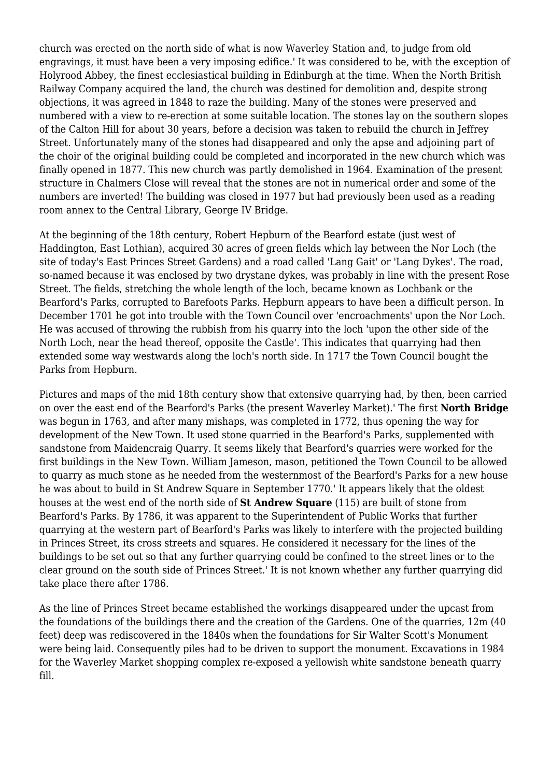church was erected on the north side of what is now Waverley Station and, to judge from old engravings, it must have been a very imposing edifice.' It was considered to be, with the exception of Holyrood Abbey, the finest ecclesiastical building in Edinburgh at the time. When the North British Railway Company acquired the land, the church was destined for demolition and, despite strong objections, it was agreed in 1848 to raze the building. Many of the stones were preserved and numbered with a view to re-erection at some suitable location. The stones lay on the southern slopes of the Calton Hill for about 30 years, before a decision was taken to rebuild the church in Jeffrey Street. Unfortunately many of the stones had disappeared and only the apse and adjoining part of the choir of the original building could be completed and incorporated in the new church which was finally opened in 1877. This new church was partly demolished in 1964. Examination of the present structure in Chalmers Close will reveal that the stones are not in numerical order and some of the numbers are inverted! The building was closed in 1977 but had previously been used as a reading room annex to the Central Library, George IV Bridge.

At the beginning of the 18th century, Robert Hepburn of the Bearford estate (just west of Haddington, East Lothian), acquired 30 acres of green fields which lay between the Nor Loch (the site of today's East Princes Street Gardens) and a road called 'Lang Gait' or 'Lang Dykes'. The road, so-named because it was enclosed by two drystane dykes, was probably in line with the present Rose Street. The fields, stretching the whole length of the loch, became known as Lochbank or the Bearford's Parks, corrupted to Barefoots Parks. Hepburn appears to have been a difficult person. In December 1701 he got into trouble with the Town Council over 'encroachments' upon the Nor Loch. He was accused of throwing the rubbish from his quarry into the loch 'upon the other side of the North Loch, near the head thereof, opposite the Castle'. This indicates that quarrying had then extended some way westwards along the loch's north side. In 1717 the Town Council bought the Parks from Hepburn.

Pictures and maps of the mid 18th century show that extensive quarrying had, by then, been carried on over the east end of the Bearford's Parks (the present Waverley Market).' The first **North Bridge** was begun in 1763, and after many mishaps, was completed in 1772, thus opening the way for development of the New Town. It used stone quarried in the Bearford's Parks, supplemented with sandstone from Maidencraig Quarry. It seems likely that Bearford's quarries were worked for the first buildings in the New Town. William Jameson, mason, petitioned the Town Council to be allowed to quarry as much stone as he needed from the westernmost of the Bearford's Parks for a new house he was about to build in St Andrew Square in September 1770.' It appears likely that the oldest houses at the west end of the north side of **St Andrew Square** (115) are built of stone from Bearford's Parks. By 1786, it was apparent to the Superintendent of Public Works that further quarrying at the western part of Bearford's Parks was likely to interfere with the projected building in Princes Street, its cross streets and squares. He considered it necessary for the lines of the buildings to be set out so that any further quarrying could be confined to the street lines or to the clear ground on the south side of Princes Street.' It is not known whether any further quarrying did take place there after 1786.

As the line of Princes Street became established the workings disappeared under the upcast from the foundations of the buildings there and the creation of the Gardens. One of the quarries, 12m (40 feet) deep was rediscovered in the 1840s when the foundations for Sir Walter Scott's Monument were being laid. Consequently piles had to be driven to support the monument. Excavations in 1984 for the Waverley Market shopping complex re-exposed a yellowish white sandstone beneath quarry fill.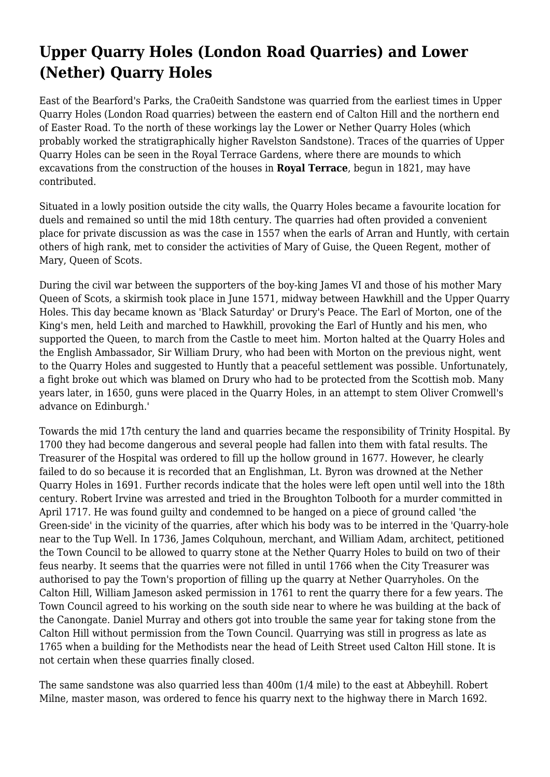### **Upper Quarry Holes (London Road Quarries) and Lower (Nether) Quarry Holes**

East of the Bearford's Parks, the Cra0eith Sandstone was quarried from the earliest times in Upper Quarry Holes (London Road quarries) between the eastern end of Calton Hill and the northern end of Easter Road. To the north of these workings lay the Lower or Nether Quarry Holes (which probably worked the stratigraphically higher Ravelston Sandstone). Traces of the quarries of Upper Quarry Holes can be seen in the Royal Terrace Gardens, where there are mounds to which excavations from the construction of the houses in **Royal Terrace**, begun in 1821, may have contributed.

Situated in a lowly position outside the city walls, the Quarry Holes became a favourite location for duels and remained so until the mid 18th century. The quarries had often provided a convenient place for private discussion as was the case in 1557 when the earls of Arran and Huntly, with certain others of high rank, met to consider the activities of Mary of Guise, the Queen Regent, mother of Mary, Queen of Scots.

During the civil war between the supporters of the boy-king James VI and those of his mother Mary Queen of Scots, a skirmish took place in June 1571, midway between Hawkhill and the Upper Quarry Holes. This day became known as 'Black Saturday' or Drury's Peace. The Earl of Morton, one of the King's men, held Leith and marched to Hawkhill, provoking the Earl of Huntly and his men, who supported the Queen, to march from the Castle to meet him. Morton halted at the Quarry Holes and the English Ambassador, Sir William Drury, who had been with Morton on the previous night, went to the Quarry Holes and suggested to Huntly that a peaceful settlement was possible. Unfortunately, a fight broke out which was blamed on Drury who had to be protected from the Scottish mob. Many years later, in 1650, guns were placed in the Quarry Holes, in an attempt to stem Oliver Cromwell's advance on Edinburgh.'

Towards the mid 17th century the land and quarries became the responsibility of Trinity Hospital. By 1700 they had become dangerous and several people had fallen into them with fatal results. The Treasurer of the Hospital was ordered to fill up the hollow ground in 1677. However, he clearly failed to do so because it is recorded that an Englishman, Lt. Byron was drowned at the Nether Quarry Holes in 1691. Further records indicate that the holes were left open until well into the 18th century. Robert Irvine was arrested and tried in the Broughton Tolbooth for a murder committed in April 1717. He was found guilty and condemned to be hanged on a piece of ground called 'the Green-side' in the vicinity of the quarries, after which his body was to be interred in the 'Quarry-hole near to the Tup Well. In 1736, James Colquhoun, merchant, and William Adam, architect, petitioned the Town Council to be allowed to quarry stone at the Nether Quarry Holes to build on two of their feus nearby. It seems that the quarries were not filled in until 1766 when the City Treasurer was authorised to pay the Town's proportion of filling up the quarry at Nether Quarryholes. On the Calton Hill, William Jameson asked permission in 1761 to rent the quarry there for a few years. The Town Council agreed to his working on the south side near to where he was building at the back of the Canongate. Daniel Murray and others got into trouble the same year for taking stone from the Calton Hill without permission from the Town Council. Quarrying was still in progress as late as 1765 when a building for the Methodists near the head of Leith Street used Calton Hill stone. It is not certain when these quarries finally closed.

The same sandstone was also quarried less than 400m (1/4 mile) to the east at Abbeyhill. Robert Milne, master mason, was ordered to fence his quarry next to the highway there in March 1692.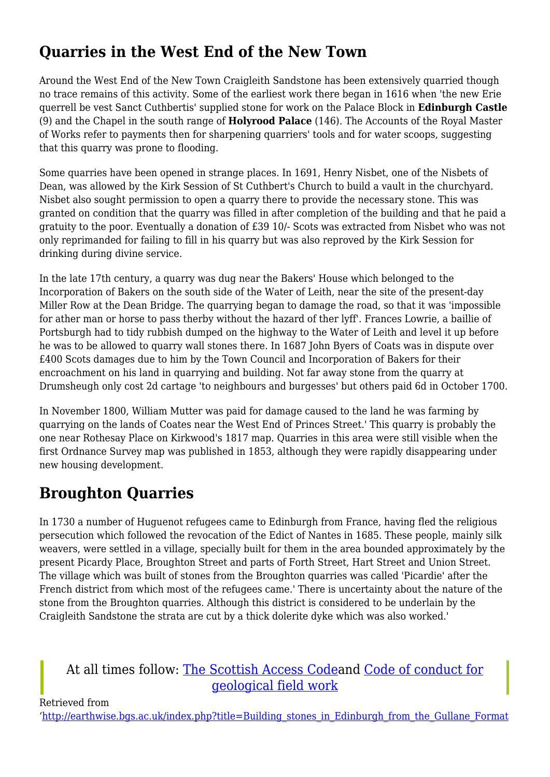## **Quarries in the West End of the New Town**

Around the West End of the New Town Craigleith Sandstone has been extensively quarried though no trace remains of this activity. Some of the earliest work there began in 1616 when 'the new Erie querrell be vest Sanct Cuthbertis' supplied stone for work on the Palace Block in **Edinburgh Castle** (9) and the Chapel in the south range of **Holyrood Palace** (146). The Accounts of the Royal Master of Works refer to payments then for sharpening quarriers' tools and for water scoops, suggesting that this quarry was prone to flooding.

Some quarries have been opened in strange places. In 1691, Henry Nisbet, one of the Nisbets of Dean, was allowed by the Kirk Session of St Cuthbert's Church to build a vault in the churchyard. Nisbet also sought permission to open a quarry there to provide the necessary stone. This was granted on condition that the quarry was filled in after completion of the building and that he paid a gratuity to the poor. Eventually a donation of £39 10/- Scots was extracted from Nisbet who was not only reprimanded for failing to fill in his quarry but was also reproved by the Kirk Session for drinking during divine service.

In the late 17th century, a quarry was dug near the Bakers' House which belonged to the Incorporation of Bakers on the south side of the Water of Leith, near the site of the present-day Miller Row at the Dean Bridge. The quarrying began to damage the road, so that it was 'impossible for ather man or horse to pass therby without the hazard of ther lyff'. Frances Lowrie, a baillie of Portsburgh had to tidy rubbish dumped on the highway to the Water of Leith and level it up before he was to be allowed to quarry wall stones there. In 1687 John Byers of Coats was in dispute over £400 Scots damages due to him by the Town Council and Incorporation of Bakers for their encroachment on his land in quarrying and building. Not far away stone from the quarry at Drumsheugh only cost 2d cartage 'to neighbours and burgesses' but others paid 6d in October 1700.

In November 1800, William Mutter was paid for damage caused to the land he was farming by quarrying on the lands of Coates near the West End of Princes Street.' This quarry is probably the one near Rothesay Place on Kirkwood's 1817 map. Quarries in this area were still visible when the first Ordnance Survey map was published in 1853, although they were rapidly disappearing under new housing development.

### **Broughton Quarries**

In 1730 a number of Huguenot refugees came to Edinburgh from France, having fled the religious persecution which followed the revocation of the Edict of Nantes in 1685. These people, mainly silk weavers, were settled in a village, specially built for them in the area bounded approximately by the present Picardy Place, Broughton Street and parts of Forth Street, Hart Street and Union Street. The village which was built of stones from the Broughton quarries was called 'Picardie' after the French district from which most of the refugees came.' There is uncertainty about the nature of the stone from the Broughton quarries. Although this district is considered to be underlain by the Craigleith Sandstone the strata are cut by a thick dolerite dyke which was also worked.'

### At all times follow: [The Scottish Access Codea](http://www.outdooraccess-scotland.com/the-act-and-the-code/introduction)nd [Code of conduct for](https://www.scottishgeology.com/where-to-go/geological-fieldwork-code/) [geological field work](https://www.scottishgeology.com/where-to-go/geological-fieldwork-code/)

Retrieved from

'[http://earthwise.bgs.ac.uk/index.php?title=Building\\_stones\\_in\\_Edinburgh\\_from\\_the\\_Gullane\\_Format](http://earthwise.bgs.ac.uk/index.php?title=Building_stones_in_Edinburgh_from_the_Gullane_Formation&oldid=23442)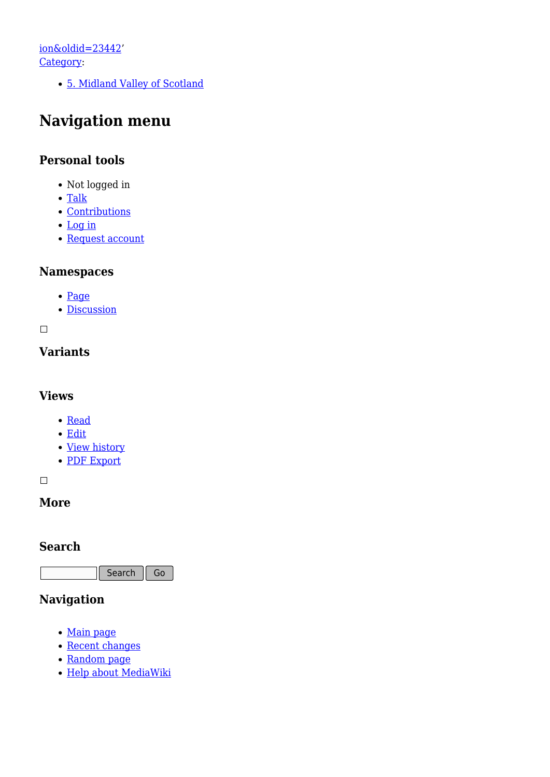[ion&oldid=23442'](http://earthwise.bgs.ac.uk/index.php?title=Building_stones_in_Edinburgh_from_the_Gullane_Formation&oldid=23442) [Category](http://earthwise.bgs.ac.uk/index.php/Special:Categories):

[5. Midland Valley of Scotland](http://earthwise.bgs.ac.uk/index.php/Category:5._Midland_Valley_of_Scotland)

### **Navigation menu**

#### **Personal tools**

- Not logged in
- [Talk](http://earthwise.bgs.ac.uk/index.php/Special:MyTalk)
- [Contributions](http://earthwise.bgs.ac.uk/index.php/Special:MyContributions)
- [Log in](http://earthwise.bgs.ac.uk/index.php?title=Special:UserLogin&returnto=Building+stones+in+Edinburgh+from+the+Gullane+Formation&returntoquery=action%3Dmpdf)
- [Request account](http://earthwise.bgs.ac.uk/index.php/Special:RequestAccount)

#### **Namespaces**

- [Page](http://earthwise.bgs.ac.uk/index.php/Building_stones_in_Edinburgh_from_the_Gullane_Formation)
- [Discussion](http://earthwise.bgs.ac.uk/index.php?title=Talk:Building_stones_in_Edinburgh_from_the_Gullane_Formation&action=edit&redlink=1)

 $\Box$ 

#### **Variants**

#### **Views**

- [Read](http://earthwise.bgs.ac.uk/index.php/Building_stones_in_Edinburgh_from_the_Gullane_Formation)
- [Edit](http://earthwise.bgs.ac.uk/index.php?title=Building_stones_in_Edinburgh_from_the_Gullane_Formation&action=edit)
- [View history](http://earthwise.bgs.ac.uk/index.php?title=Building_stones_in_Edinburgh_from_the_Gullane_Formation&action=history)
- [PDF Export](http://earthwise.bgs.ac.uk/index.php?title=Building_stones_in_Edinburgh_from_the_Gullane_Formation&action=mpdf)

 $\Box$ 

#### **More**

#### **Search**

Search Go

#### **Navigation**

- [Main page](http://earthwise.bgs.ac.uk/index.php/Main_Page)
- [Recent changes](http://earthwise.bgs.ac.uk/index.php/Special:RecentChanges)
- [Random page](http://earthwise.bgs.ac.uk/index.php/Special:Random)
- [Help about MediaWiki](https://www.mediawiki.org/wiki/Special:MyLanguage/Help:Contents)